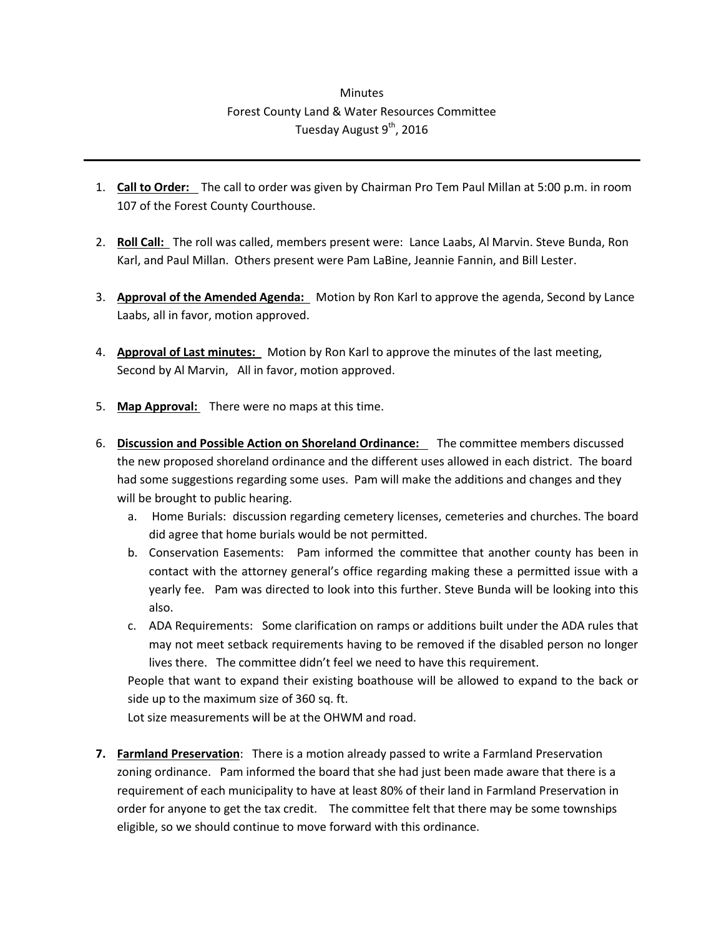## **Minutes** Forest County Land & Water Resources Committee Tuesday August 9<sup>th</sup>, 2016

- 1. **Call to Order:** The call to order was given by Chairman Pro Tem Paul Millan at 5:00 p.m. in room 107 of the Forest County Courthouse.
- 2. **Roll Call:** The roll was called, members present were: Lance Laabs, Al Marvin. Steve Bunda, Ron Karl, and Paul Millan. Others present were Pam LaBine, Jeannie Fannin, and Bill Lester.
- 3. **Approval of the Amended Agenda:** Motion by Ron Karl to approve the agenda, Second by Lance Laabs, all in favor, motion approved.
- 4. **Approval of Last minutes:** Motion by Ron Karl to approve the minutes of the last meeting, Second by Al Marvin, All in favor, motion approved.
- 5. **Map Approval:** There were no maps at this time.
- 6. **Discussion and Possible Action on Shoreland Ordinance:** The committee members discussed the new proposed shoreland ordinance and the different uses allowed in each district. The board had some suggestions regarding some uses. Pam will make the additions and changes and they will be brought to public hearing.
	- a. Home Burials: discussion regarding cemetery licenses, cemeteries and churches. The board did agree that home burials would be not permitted.
	- b. Conservation Easements: Pam informed the committee that another county has been in contact with the attorney general's office regarding making these a permitted issue with a yearly fee. Pam was directed to look into this further. Steve Bunda will be looking into this also.
	- c. ADA Requirements: Some clarification on ramps or additions built under the ADA rules that may not meet setback requirements having to be removed if the disabled person no longer lives there. The committee didn't feel we need to have this requirement.

People that want to expand their existing boathouse will be allowed to expand to the back or side up to the maximum size of 360 sq. ft.

Lot size measurements will be at the OHWM and road.

**7. Farmland Preservation**: There is a motion already passed to write a Farmland Preservation zoning ordinance. Pam informed the board that she had just been made aware that there is a requirement of each municipality to have at least 80% of their land in Farmland Preservation in order for anyone to get the tax credit. The committee felt that there may be some townships eligible, so we should continue to move forward with this ordinance.